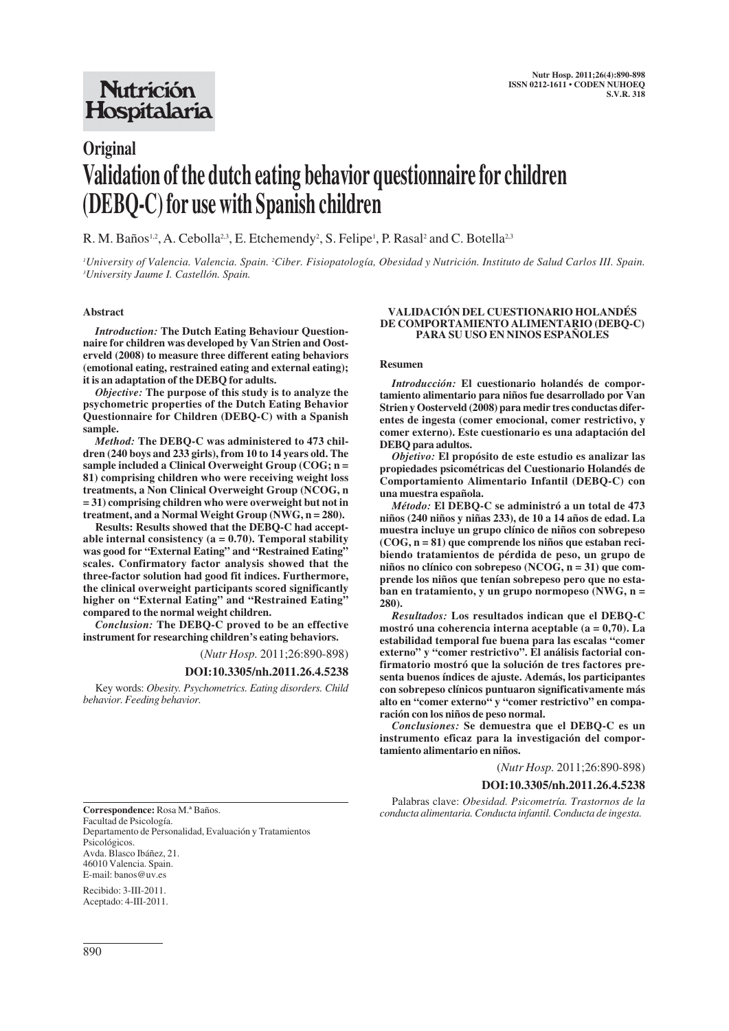# **Nutrición** Hospitalaria

# **Original Validation of the dutch eating behavior questionnaire for children (DEBQ-C) for use with Spanish children**

R. M. Baños<sup>1,2</sup>, A. Cebolla<sup>2,3</sup>, E. Etchemendy<sup>2</sup>, S. Felipe<sup>1</sup>, P. Rasal<sup>2</sup> and C. Botella<sup>2,3</sup>

*1 University of Valencia. Valencia. Spain. 2 Ciber. Fisiopatología, Obesidad y Nutrición. Instituto de Salud Carlos III. Spain. 3 University Jaume I. Castellón. Spain.*

#### **Abstract**

*Introduction:* **The Dutch Eating Behaviour Questionnaire for children was developed by Van Strien and Oosterveld (2008) to measure three different eating behaviors (emotional eating, restrained eating and external eating); it is an adaptation of the DEBQ for adults.** 

*Objective:* **The purpose of this study is to analyze the psychometric properties of the Dutch Eating Behavior Questionnaire for Children (DEBQ-C) with a Spanish sample.**

*Method:* **The DEBQ-C was administered to 473 children (240 boys and 233 girls), from 10 to 14 years old. The sample included a Clinical Overweight Group (COG; n = 81) comprising children who were receiving weight loss treatments, a Non Clinical Overweight Group (NCOG, n = 31) comprising children who were overweight but not in treatment, and a Normal Weight Group (NWG, n = 280).**

**Results: Results showed that the DEBQ-C had acceptable internal consistency (a = 0.70). Temporal stability was good for "External Eating" and "Restrained Eating" scales. Confirmatory factor analysis showed that the three-factor solution had good fit indices. Furthermore, the clinical overweight participants scored significantly higher on "External Eating" and "Restrained Eating" compared to the normal weight children.** 

*Conclusion:* **The DEBQ-C proved to be an effective instrument for researching children's eating behaviors.**

(*Nutr Hosp.* 2011;26:890-898)

#### **DOI:10.3305/nh.2011.26.4.5238**

Key words: *Obesity. Psychometrics. Eating disorders. Child behavior. Feeding behavior.*

#### **VALIDACIÓN DEL CUESTIONARIO HOLANDÉS DE COMPORTAMIENTO ALIMENTARIO (DEBQ-C) PARA SU USO EN NINOS ESPAÑOLES**

#### **Resumen**

*Introducción:* **El cuestionario holandés de comportamiento alimentario para niños fue desarrollado por Van Strien y Oosterveld (2008) para medir tres conductas diferentes de ingesta (comer emocional, comer restrictivo, y comer externo). Este cuestionario es una adaptación del DEBQ para adultos.**

*Objetivo:* **El propósito de este estudio es analizar las propiedades psicométricas del Cuestionario Holandés de Comportamiento Alimentario Infantil (DEBQ-C) con una muestra española.**

*Método:* **El DEBQ-C se administró a un total de 473 niños (240 niños y niñas 233), de 10 a 14 años de edad. La muestra incluye un grupo clínico de niños con sobrepeso (COG, n = 81) que comprende los niños que estaban recibiendo tratamientos de pérdida de peso, un grupo de niños no clínico con sobrepeso (NCOG, n = 31) que comprende los niños que tenían sobrepeso pero que no estaban en tratamiento, y un grupo normopeso (NWG, n = 280).**

*Resultados:* **Los resultados indican que el DEBQ-C mostró una coherencia interna aceptable (a = 0,70). La estabilidad temporal fue buena para las escalas "comer externo" y "comer restrictivo". El análisis factorial confirmatorio mostró que la solución de tres factores presenta buenos índices de ajuste. Además, los participantes con sobrepeso clínicos puntuaron significativamente más alto en "comer externo" y "comer restrictivo" en comparación con los niños de peso normal.** 

*Conclusiones:* **Se demuestra que el DEBQ-C es un instrumento eficaz para la investigación del comportamiento alimentario en niños.**

(*Nutr Hosp.* 2011;26:890-898)

### **DOI:10.3305/nh.2011.26.4.5238**

Palabras clave: *Obesidad. Psicometría. Trastornos de la conducta alimentaria. Conducta infantil. Conducta de ingesta.*

**Correspondence:** Rosa M.ª Baños. Facultad de Psicología. Departamento de Personalidad, Evaluación y Tratamientos Psicológicos. Avda. Blasco Ibáñez, 21. 46010 Valencia. Spain.

E-mail: banos@uv.es Recibido: 3-III-2011. Aceptado: 4-III-2011.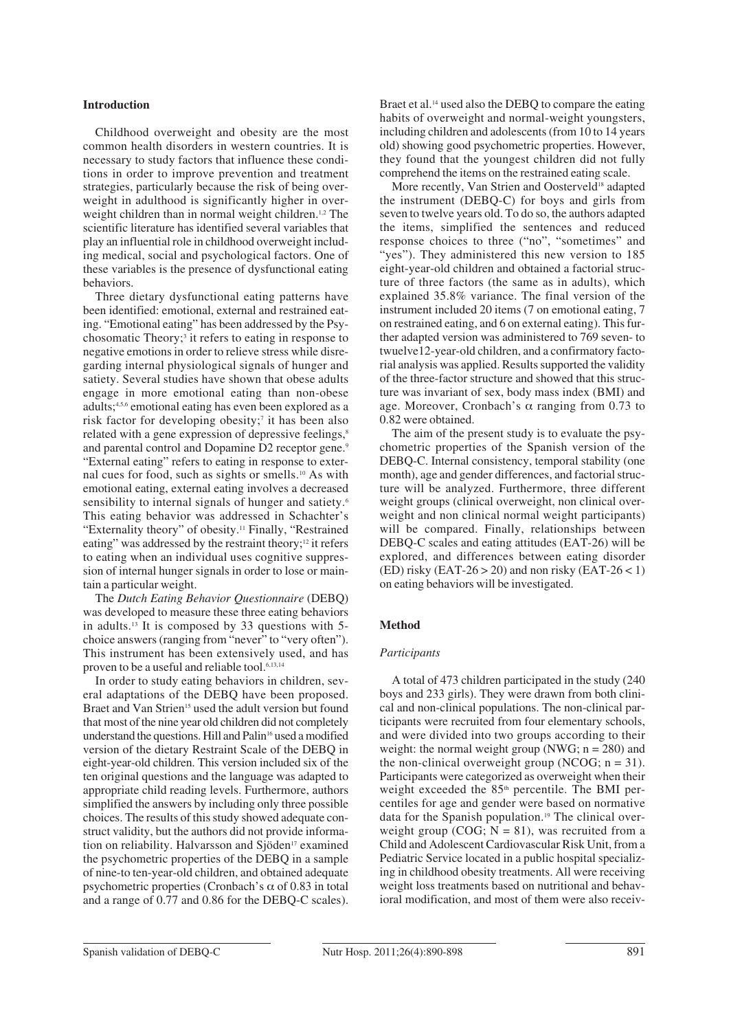## **Introduction**

Childhood overweight and obesity are the most common health disorders in western countries. It is necessary to study factors that influence these conditions in order to improve prevention and treatment strategies, particularly because the risk of being overweight in adulthood is significantly higher in overweight children than in normal weight children.<sup>1,2</sup> The scientific literature has identified several variables that play an influential role in childhood overweight including medical, social and psychological factors. One of these variables is the presence of dysfunctional eating behaviors.

Three dietary dysfunctional eating patterns have been identified: emotional, external and restrained eating. "Emotional eating" has been addressed by the Psychosomatic Theory;<sup>3</sup> it refers to eating in response to negative emotions in order to relieve stress while disregarding internal physiological signals of hunger and satiety. Several studies have shown that obese adults engage in more emotional eating than non-obese adults;4,5,6 emotional eating has even been explored as a risk factor for developing obesity;<sup>7</sup> it has been also related with a gene expression of depressive feelings,<sup>8</sup> and parental control and Dopamine D2 receptor gene.<sup>9</sup> "External eating" refers to eating in response to external cues for food, such as sights or smells.10 As with emotional eating, external eating involves a decreased sensibility to internal signals of hunger and satiety.<sup>6</sup> This eating behavior was addressed in Schachter's "Externality theory" of obesity.11 Finally, "Restrained eating" was addressed by the restraint theory;<sup>12</sup> it refers to eating when an individual uses cognitive suppression of internal hunger signals in order to lose or maintain a particular weight.

The *Dutch Eating Behavior Questionnaire* (DEBQ) was developed to measure these three eating behaviors in adults.13 It is composed by 33 questions with 5 choice answers (ranging from "never" to "very often"). This instrument has been extensively used, and has proven to be a useful and reliable tool.<sup>6,13,14</sup>

In order to study eating behaviors in children, several adaptations of the DEBQ have been proposed. Braet and Van Strien<sup>15</sup> used the adult version but found that most of the nine year old children did not completely understand the questions. Hill and Palin<sup>16</sup> used a modified version of the dietary Restraint Scale of the DEBQ in eight-year-old children. This version included six of the ten original questions and the language was adapted to appropriate child reading levels. Furthermore, authors simplified the answers by including only three possible choices. The results of this study showed adequate construct validity, but the authors did not provide information on reliability. Halvarsson and Sjöden<sup>17</sup> examined the psychometric properties of the DEBQ in a sample of nine-to ten-year-old children, and obtained adequate psychometric properties (Cronbach's  $\alpha$  of 0.83 in total and a range of 0.77 and 0.86 for the DEBQ-C scales). Braet et al.<sup>14</sup> used also the DEBQ to compare the eating habits of overweight and normal-weight youngsters, including children and adolescents (from 10 to 14 years old) showing good psychometric properties. However, they found that the youngest children did not fully comprehend the items on the restrained eating scale.

More recently, Van Strien and Oosterveld<sup>18</sup> adapted the instrument (DEBQ-C) for boys and girls from seven to twelve years old. To do so, the authors adapted the items, simplified the sentences and reduced response choices to three ("no", "sometimes" and "yes"). They administered this new version to 185 eight-year-old children and obtained a factorial structure of three factors (the same as in adults), which explained 35.8% variance. The final version of the instrument included 20 items (7 on emotional eating, 7 on restrained eating, and 6 on external eating). This further adapted version was administered to 769 seven- to twuelve12-year-old children, and a confirmatory factorial analysis was applied. Results supported the validity of the three-factor structure and showed that this structure was invariant of sex, body mass index (BMI) and age. Moreover, Cronbach's  $\alpha$  ranging from 0.73 to 0.82 were obtained.

The aim of the present study is to evaluate the psychometric properties of the Spanish version of the DEBQ-C. Internal consistency, temporal stability (one month), age and gender differences, and factorial structure will be analyzed. Furthermore, three different weight groups (clinical overweight, non clinical overweight and non clinical normal weight participants) will be compared. Finally, relationships between DEBQ-C scales and eating attitudes (EAT-26) will be explored, and differences between eating disorder (ED) risky (EAT-26  $>$  20) and non risky (EAT-26  $<$  1) on eating behaviors will be investigated.

## **Method**

# *Participants*

A total of 473 children participated in the study (240 boys and 233 girls). They were drawn from both clinical and non-clinical populations. The non-clinical participants were recruited from four elementary schools, and were divided into two groups according to their weight: the normal weight group (NWG;  $n = 280$ ) and the non-clinical overweight group (NCOG;  $n = 31$ ). Participants were categorized as overweight when their weight exceeded the 85<sup>th</sup> percentile. The BMI percentiles for age and gender were based on normative data for the Spanish population.19 The clinical overweight group (COG;  $N = 81$ ), was recruited from a Child and Adolescent Cardiovascular Risk Unit, from a Pediatric Service located in a public hospital specializing in childhood obesity treatments. All were receiving weight loss treatments based on nutritional and behavioral modification, and most of them were also receiv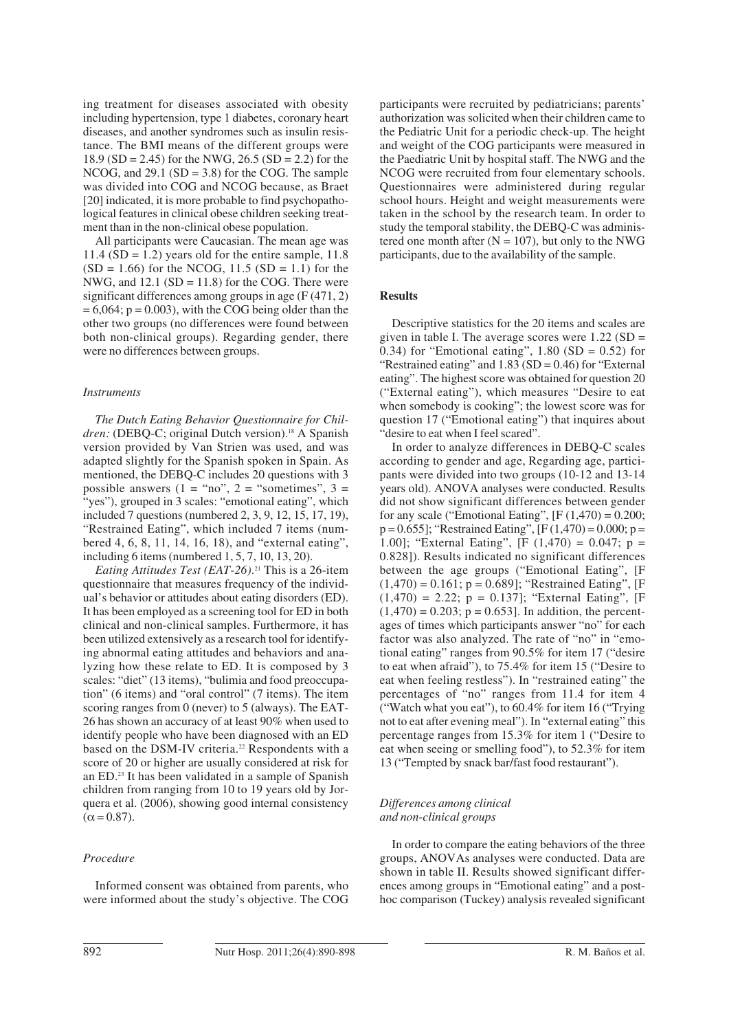ing treatment for diseases associated with obesity including hypertension, type 1 diabetes, coronary heart diseases, and another syndromes such as insulin resistance. The BMI means of the different groups were 18.9 (SD = 2.45) for the NWG, 26.5 (SD = 2.2) for the NCOG, and 29.1 (SD = 3.8) for the COG. The sample was divided into COG and NCOG because, as Braet [20] indicated, it is more probable to find psychopathological features in clinical obese children seeking treatment than in the non-clinical obese population.

All participants were Caucasian. The mean age was 11.4 ( $SD = 1.2$ ) years old for the entire sample, 11.8  $(SD = 1.66)$  for the NCOG, 11.5  $(SD = 1.1)$  for the NWG, and  $12.1$  (SD = 11.8) for the COG. There were significant differences among groups in age (F (471, 2)  $= 6,064$ ;  $p = 0.003$ ), with the COG being older than the other two groups (no differences were found between both non-clinical groups). Regarding gender, there were no differences between groups.

### *Instruments*

*The Dutch Eating Behavior Questionnaire for Chil*dren: (DEBQ-C; original Dutch version).<sup>18</sup> A Spanish version provided by Van Strien was used, and was adapted slightly for the Spanish spoken in Spain. As mentioned, the DEBQ-C includes 20 questions with 3 possible answers  $(1 = "no", 2 = "sometimes", 3 =$ "yes"), grouped in 3 scales: "emotional eating", which included 7 questions (numbered 2, 3, 9, 12, 15, 17, 19), "Restrained Eating", which included 7 items (numbered 4, 6, 8, 11, 14, 16, 18), and "external eating", including 6 items (numbered 1, 5, 7, 10, 13, 20).

*Eating Attitudes Test (EAT-26)*. <sup>21</sup> This is a 26-item questionnaire that measures frequency of the individual's behavior or attitudes about eating disorders (ED). It has been employed as a screening tool for ED in both clinical and non-clinical samples. Furthermore, it has been utilized extensively as a research tool for identifying abnormal eating attitudes and behaviors and analyzing how these relate to ED. It is composed by 3 scales: "diet" (13 items), "bulimia and food preoccupation" (6 items) and "oral control" (7 items). The item scoring ranges from 0 (never) to 5 (always). The EAT-26 has shown an accuracy of at least 90% when used to identify people who have been diagnosed with an ED based on the DSM-IV criteria.<sup>22</sup> Respondents with a score of 20 or higher are usually considered at risk for an ED.23 It has been validated in a sample of Spanish children from ranging from 10 to 19 years old by Jorquera et al. (2006), showing good internal consistency  $(\alpha = 0.87)$ .

#### *Procedure*

Informed consent was obtained from parents, who were informed about the study's objective. The COG participants were recruited by pediatricians; parents' authorization was solicited when their children came to the Pediatric Unit for a periodic check-up. The height and weight of the COG participants were measured in the Paediatric Unit by hospital staff. The NWG and the NCOG were recruited from four elementary schools. Questionnaires were administered during regular school hours. Height and weight measurements were taken in the school by the research team. In order to study the temporal stability, the DEBQ-C was administered one month after  $(N = 107)$ , but only to the NWG participants, due to the availability of the sample.

#### **Results**

Descriptive statistics for the 20 items and scales are given in table I. The average scores were  $1.22$  (SD = 0.34) for "Emotional eating",  $1.80$  (SD = 0.52) for "Restrained eating" and 1.83 (SD = 0.46) for "External eating". The highest score was obtained for question 20 ("External eating"), which measures "Desire to eat when somebody is cooking"; the lowest score was for question 17 ("Emotional eating") that inquires about "desire to eat when I feel scared".

In order to analyze differences in DEBQ-C scales according to gender and age, Regarding age, participants were divided into two groups (10-12 and 13-14 years old). ANOVA analyses were conducted. Results did not show significant differences between gender for any scale ("Emotional Eating",  $[F(1,470) = 0.200;$  $p = 0.655$ ]; "Restrained Eating",  $[F(1,470) = 0.000; p =$ 1.00]; "External Eating",  $[F (1,470) = 0.047; p =$ 0.828]). Results indicated no significant differences between the age groups ("Emotional Eating", [F  $(1,470) = 0.161$ ; p = 0.689]; "Restrained Eating", [F  $(1,470) = 2.22$ ;  $p = 0.137$ ]; "External Eating", [F  $(1,470) = 0.203$ ;  $p = 0.653$ ]. In addition, the percentages of times which participants answer "no" for each factor was also analyzed. The rate of "no" in "emotional eating" ranges from 90.5% for item 17 ("desire to eat when afraid"), to 75.4% for item 15 ("Desire to eat when feeling restless"). In "restrained eating" the percentages of "no" ranges from 11.4 for item 4 ("Watch what you eat"), to 60.4% for item 16 ("Trying not to eat after evening meal"). In "external eating" this percentage ranges from 15.3% for item 1 ("Desire to eat when seeing or smelling food"), to 52.3% for item 13 ("Tempted by snack bar/fast food restaurant").

#### *Differences among clinical and non-clinical groups*

In order to compare the eating behaviors of the three groups, ANOVAs analyses were conducted. Data are shown in table II. Results showed significant differences among groups in "Emotional eating" and a posthoc comparison (Tuckey) analysis revealed significant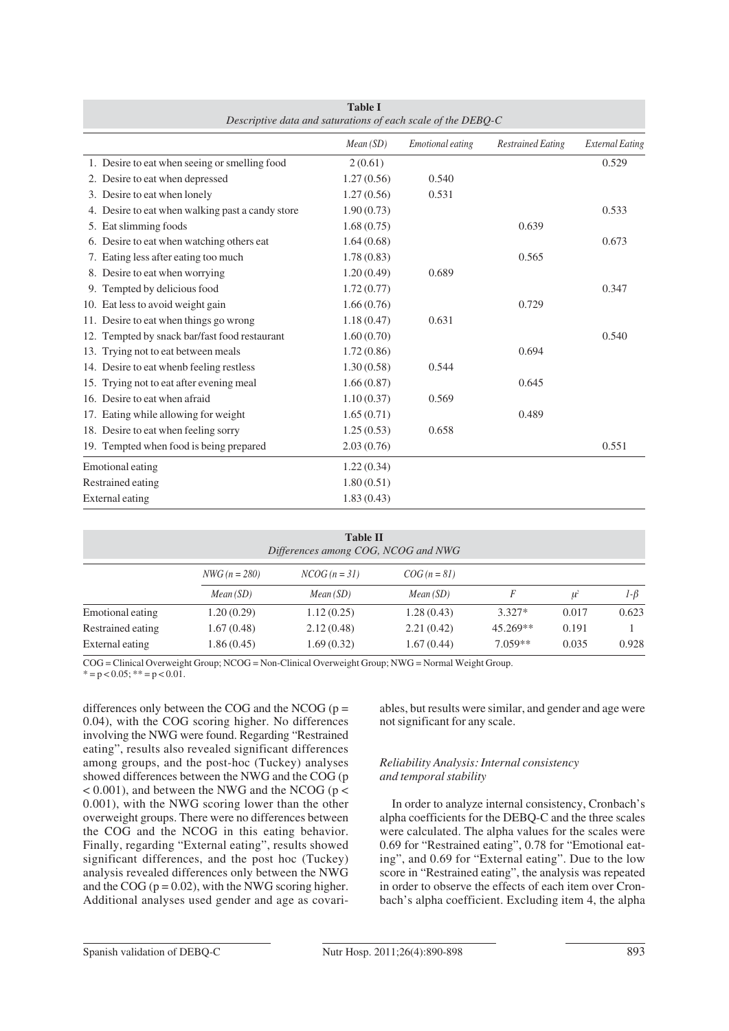| $\sigma$ , $\sigma$ and $\sigma$ and $\sigma$ and $\sigma$ and $\sigma$ and $\sigma$ and $\sigma$ and $\sigma$ and $\sigma$ and $\sigma$ |            |                  |                          |                        |
|------------------------------------------------------------------------------------------------------------------------------------------|------------|------------------|--------------------------|------------------------|
|                                                                                                                                          | Mean(SD)   | Emotional eating | <b>Restrained Eating</b> | <b>External Eating</b> |
| 1. Desire to eat when seeing or smelling food                                                                                            | 2(0.61)    |                  |                          | 0.529                  |
| 2. Desire to eat when depressed                                                                                                          | 1.27(0.56) | 0.540            |                          |                        |
| 3. Desire to eat when lonely                                                                                                             | 1.27(0.56) | 0.531            |                          |                        |
| 4. Desire to eat when walking past a candy store                                                                                         | 1.90(0.73) |                  |                          | 0.533                  |
| 5. Eat slimming foods                                                                                                                    | 1.68(0.75) |                  | 0.639                    |                        |
| 6. Desire to eat when watching others eat                                                                                                | 1.64(0.68) |                  |                          | 0.673                  |
| 7. Eating less after eating too much                                                                                                     | 1.78(0.83) |                  | 0.565                    |                        |
| 8. Desire to eat when worrying                                                                                                           | 1.20(0.49) | 0.689            |                          |                        |
| 9. Tempted by delicious food                                                                                                             | 1.72(0.77) |                  |                          | 0.347                  |
| 10. Eat less to avoid weight gain                                                                                                        | 1.66(0.76) |                  | 0.729                    |                        |
| 11. Desire to eat when things go wrong                                                                                                   | 1.18(0.47) | 0.631            |                          |                        |
| 12. Tempted by snack bar/fast food restaurant                                                                                            | 1.60(0.70) |                  |                          | 0.540                  |
| 13. Trying not to eat between meals                                                                                                      | 1.72(0.86) |                  | 0.694                    |                        |
| 14. Desire to eat whenb feeling restless                                                                                                 | 1.30(0.58) | 0.544            |                          |                        |
| 15. Trying not to eat after evening meal                                                                                                 | 1.66(0.87) |                  | 0.645                    |                        |
| 16. Desire to eat when afraid                                                                                                            | 1.10(0.37) | 0.569            |                          |                        |
| 17. Eating while allowing for weight                                                                                                     | 1.65(0.71) |                  | 0.489                    |                        |
| 18. Desire to eat when feeling sorry                                                                                                     | 1.25(0.53) | 0.658            |                          |                        |
| 19. Tempted when food is being prepared                                                                                                  | 2.03(0.76) |                  |                          | 0.551                  |
| Emotional eating                                                                                                                         | 1.22(0.34) |                  |                          |                        |
| Restrained eating                                                                                                                        | 1.80(0.51) |                  |                          |                        |
| <b>External eating</b>                                                                                                                   | 1.83(0.43) |                  |                          |                        |

| <b>Table I</b>                                               |  |
|--------------------------------------------------------------|--|
| Descriptive data and saturations of each scale of the DEBO-C |  |

| <b>Table II</b><br>Differences among COG, NCOG and NWG |            |            |            |            |       |           |
|--------------------------------------------------------|------------|------------|------------|------------|-------|-----------|
| $NWG (n = 280)$<br>$NCOG (n=31)$<br>$COG (n = 81)$     |            |            |            |            |       |           |
|                                                        | Mean(SD)   | Mean(SD)   | Mean(SD)   | F          | $u^2$ | $1-\beta$ |
| Emotional eating                                       | 1.20(0.29) | 1.12(0.25) | 1.28(0.43) | $3.327*$   | 0.017 | 0.623     |
| Restrained eating                                      | 1.67(0.48) | 2.12(0.48) | 2.21(0.42) | $45.269**$ | 0.191 |           |
| External eating                                        | 1.86(0.45) | 1.69(0.32) | 1.67(0.44) | $7.059**$  | 0.035 | 0.928     |

COG = Clinical Overweight Group; NCOG = Non-Clinical Overweight Group; NWG = Normal Weight Group.

 $* = p < 0.05$ ;  $* = p < 0.01$ .

differences only between the COG and the NCOG ( $p =$ 0.04), with the COG scoring higher. No differences involving the NWG were found. Regarding "Restrained eating", results also revealed significant differences among groups, and the post-hoc (Tuckey) analyses showed differences between the NWG and the COG (p  $< 0.001$ ), and between the NWG and the NCOG ( $p <$ 0.001), with the NWG scoring lower than the other overweight groups. There were no differences between the COG and the NCOG in this eating behavior. Finally, regarding "External eating", results showed significant differences, and the post hoc (Tuckey) analysis revealed differences only between the NWG and the COG ( $p = 0.02$ ), with the NWG scoring higher. Additional analyses used gender and age as covariables, but results were similar, and gender and age were not significant for any scale.

# *Reliability Analysis: Internal consistency and temporal stability*

In order to analyze internal consistency, Cronbach's alpha coefficients for the DEBQ-C and the three scales were calculated. The alpha values for the scales were 0.69 for "Restrained eating", 0.78 for "Emotional eating", and 0.69 for "External eating". Due to the low score in "Restrained eating", the analysis was repeated in order to observe the effects of each item over Cronbach's alpha coefficient. Excluding item 4, the alpha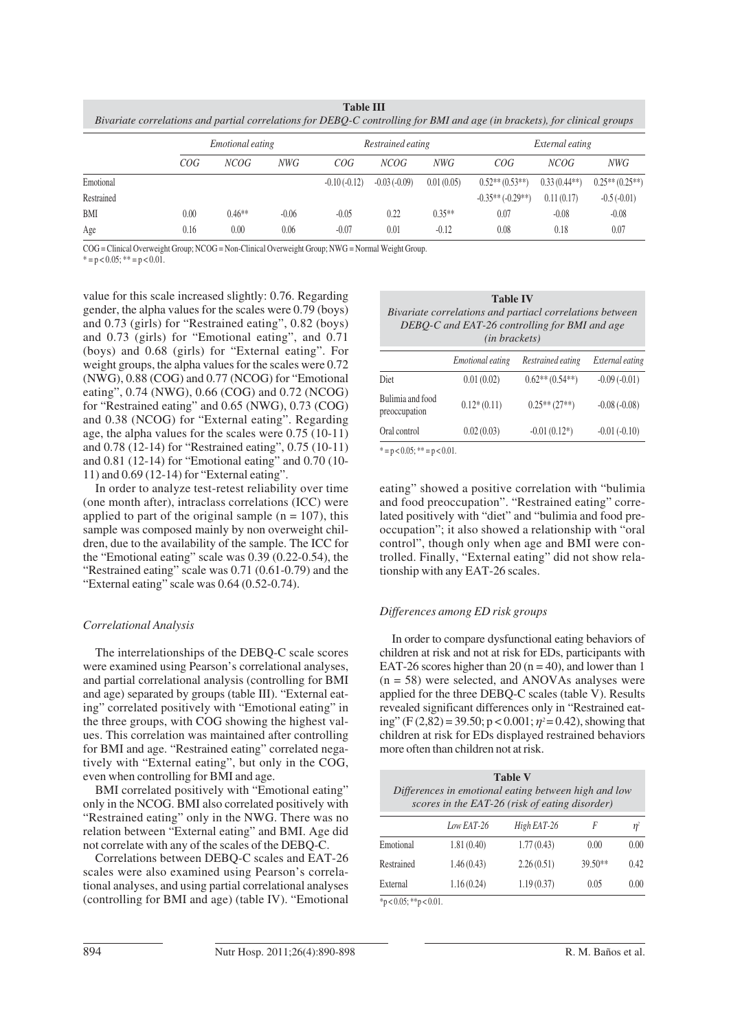|                                                                                                                           |                  | таністті          |                 |  |
|---------------------------------------------------------------------------------------------------------------------------|------------------|-------------------|-----------------|--|
| Bivariate correlations and partial correlations for DEBO-C controlling for BMI and age (in brackets), for clinical groups |                  |                   |                 |  |
|                                                                                                                           |                  |                   |                 |  |
|                                                                                                                           | Emotional eating | Restrained eating | External eating |  |

**Table III**

|            |      | <i>Emotional eating</i> |         | Restrained eating |                | External eating |                     |                |                                |
|------------|------|-------------------------|---------|-------------------|----------------|-----------------|---------------------|----------------|--------------------------------|
|            | COG  | NCOG                    | NWG     | COG               | NCOG           | NWG             | COG                 | NCOG           | NWG                            |
| Emotional  |      |                         |         | $-0.10(-0.12)$    | $-0.03(-0.09)$ | 0.01(0.05)      | $0.52**$ $(0.53**)$ | $0.33(0.44**)$ | $0.25**$ (0.25 <sup>**</sup> ) |
| Restrained |      |                         |         |                   |                |                 | $-0.35**(-0.29**)$  | 0.11(0.17)     | $-0.5(-0.01)$                  |
| BMI        | 0.00 | $0.46**$                | $-0.06$ | $-0.05$           | 0.22           | $0.35**$        | 0.07                | $-0.08$        | $-0.08$                        |
| Age        | 0.16 | 0.00                    | 0.06    | $-0.07$           | 0.01           | $-0.12$         | 0.08                | 0.18           | 0.07                           |
|            |      |                         |         |                   |                |                 |                     |                |                                |

COG = Clinical Overweight Group; NCOG = Non-Clinical Overweight Group; NWG = Normal Weight Group.

 $* = p < 0.05$ ;  $** = p < 0.01$ .

value for this scale increased slightly: 0.76. Regarding gender, the alpha values for the scales were 0.79 (boys) and 0.73 (girls) for "Restrained eating", 0.82 (boys) and 0.73 (girls) for "Emotional eating", and 0.71 (boys) and 0.68 (girls) for "External eating". For weight groups, the alpha values for the scales were 0.72 (NWG), 0.88 (COG) and 0.77 (NCOG) for "Emotional eating", 0.74 (NWG), 0.66 (COG) and 0.72 (NCOG) for "Restrained eating" and 0.65 (NWG), 0.73 (COG) and 0.38 (NCOG) for "External eating". Regarding age, the alpha values for the scales were 0.75 (10-11) and 0.78 (12-14) for "Restrained eating", 0.75 (10-11) and 0.81 (12-14) for "Emotional eating" and 0.70 (10- 11) and 0.69 (12-14) for "External eating".

In order to analyze test-retest reliability over time (one month after), intraclass correlations (ICC) were applied to part of the original sample  $(n = 107)$ , this sample was composed mainly by non overweight children, due to the availability of the sample. The ICC for the "Emotional eating" scale was 0.39 (0.22-0.54), the "Restrained eating" scale was 0.71 (0.61-0.79) and the "External eating" scale was 0.64 (0.52-0.74).

# *Correlational Analysis*

The interrelationships of the DEBQ-C scale scores were examined using Pearson's correlational analyses, and partial correlational analysis (controlling for BMI and age) separated by groups (table III). "External eating" correlated positively with "Emotional eating" in the three groups, with COG showing the highest values. This correlation was maintained after controlling for BMI and age. "Restrained eating" correlated negatively with "External eating", but only in the COG, even when controlling for BMI and age.

BMI correlated positively with "Emotional eating" only in the NCOG. BMI also correlated positively with "Restrained eating" only in the NWG. There was no relation between "External eating" and BMI. Age did not correlate with any of the scales of the DEBQ-C.

Correlations between DEBQ-C scales and EAT-26 scales were also examined using Pearson's correlational analyses, and using partial correlational analyses (controlling for BMI and age) (table IV). "Emotional

|                                                                                                                                     | <b>Table IV</b> |                                                    |  |  |
|-------------------------------------------------------------------------------------------------------------------------------------|-----------------|----------------------------------------------------|--|--|
| Bivariate correlations and partiacl correlations between<br>DEBQ-C and EAT-26 controlling for BMI and age<br>( <i>in brackets</i> ) |                 |                                                    |  |  |
|                                                                                                                                     |                 | Emptional eating Dectrained eating External eating |  |  |

| Emotional eating | Restrained eating            | <i>External eating</i> |
|------------------|------------------------------|------------------------|
| 0.01(0.02)       | $0.62**$ $(0.54**)$          | $-0.09(-0.01)$         |
| $0.12*(0.11)$    | $0.25**$ (27 <sup>**</sup> ) | $-0.08(-0.08)$         |
| 0.02(0.03)       | $-0.01(0.12*)$               | $-0.01(-0.10)$         |
|                  |                              |                        |

 $* = p < 0.05$ ;  $** = p < 0.01$ .

eating" showed a positive correlation with "bulimia and food preoccupation". "Restrained eating" correlated positively with "diet" and "bulimia and food preoccupation"; it also showed a relationship with "oral control", though only when age and BMI were controlled. Finally, "External eating" did not show relationship with any EAT-26 scales.

# *Differences among ED risk groups*

In order to compare dysfunctional eating behaviors of children at risk and not at risk for EDs, participants with EAT-26 scores higher than 20 ( $n = 40$ ), and lower than 1  $(n = 58)$  were selected, and ANOVAs analyses were applied for the three DEBQ-C scales (table V). Results revealed significant differences only in "Restrained eating" (F (2,82) = 39.50; p < 0.001;  $\eta$ <sup>2</sup> = 0.42), showing that children at risk for EDs displayed restrained behaviors more often than children not at risk.

| <b>Table V</b><br>Differences in emotional eating between high and low<br>scores in the EAT-26 (risk of eating disorder) |            |             |           |          |  |  |
|--------------------------------------------------------------------------------------------------------------------------|------------|-------------|-----------|----------|--|--|
|                                                                                                                          | Low EAT-26 | High EAT-26 | F         | $\eta^2$ |  |  |
| Emotional                                                                                                                | 1.81(0.40) | 1.77(0.43)  | 0.00      | 0.00     |  |  |
| Restrained                                                                                                               | 1.46(0.43) | 2.26(0.51)  | $39.50**$ | 0.42     |  |  |
| External                                                                                                                 | 1.16(0.24) | 1.19(0.37)  | 0.05      | 0.00     |  |  |

 $*p < 0.05; **p < 0.01$ .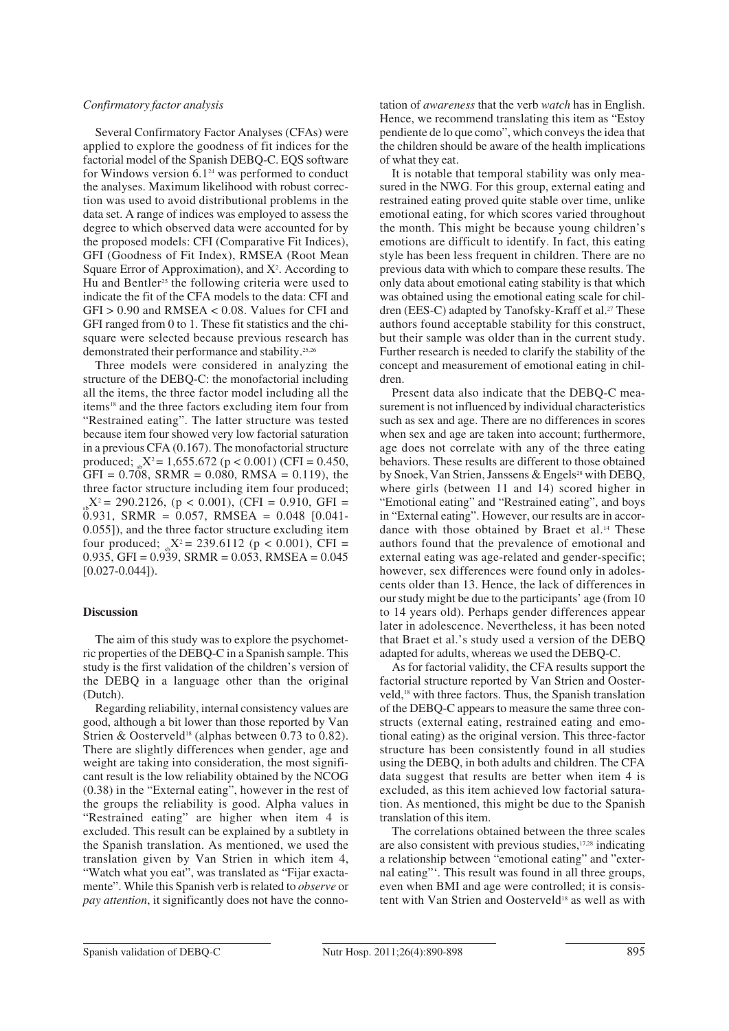# *Confirmatory factor analysis*

Several Confirmatory Factor Analyses (CFAs) were applied to explore the goodness of fit indices for the factorial model of the Spanish DEBQ-C. EQS software for Windows version  $6.1<sup>24</sup>$  was performed to conduct the analyses. Maximum likelihood with robust correction was used to avoid distributional problems in the data set. A range of indices was employed to assess the degree to which observed data were accounted for by the proposed models: CFI (Comparative Fit Indices), GFI (Goodness of Fit Index), RMSEA (Root Mean Square Error of Approximation), and  $X^2$ . According to Hu and Bentler<sup>25</sup> the following criteria were used to indicate the fit of the CFA models to the data: CFI and GFI > 0.90 and RMSEA < 0.08. Values for CFI and GFI ranged from 0 to 1. These fit statistics and the chisquare were selected because previous research has demonstrated their performance and stability.25,26

Three models were considered in analyzing the structure of the DEBQ-C: the monofactorial including all the items, the three factor model including all the items<sup>18</sup> and the three factors excluding item four from "Restrained eating". The latter structure was tested because item four showed very low factorial saturation in a previous CFA (0.167). The monofactorial structure produced;  $_{\text{B}}X^2 = 1,655.672$  (p < 0.001) (CFI = 0.450,  $GFI = 0.708$ ,  $SRMR = 0.080$ ,  $RMSA = 0.119$ ), the three factor structure including item four produced;  $S_{sh}X^2 = 290.2126$ , (p < 0.001), (CFI = 0.910, GFI =  $0.931$ , SRMR = 0.057, RMSEA = 0.048 [0.041-0.055]), and the three factor structure excluding item four produced;  $_{sh}X^2 = 239.6112$  (p < 0.001), CFI =  $0.935$ , GFI =  $0.939$ , SRMR =  $0.053$ , RMSEA =  $0.045$  $[0.027 - 0.044]$ .

# **Discussion**

The aim of this study was to explore the psychometric properties of the DEBQ-C in a Spanish sample. This study is the first validation of the children's version of the DEBQ in a language other than the original (Dutch).

Regarding reliability, internal consistency values are good, although a bit lower than those reported by Van Strien & Oosterveld<sup>18</sup> (alphas between 0.73 to 0.82). There are slightly differences when gender, age and weight are taking into consideration, the most significant result is the low reliability obtained by the NCOG (0.38) in the "External eating", however in the rest of the groups the reliability is good. Alpha values in "Restrained eating" are higher when item 4 is excluded. This result can be explained by a subtlety in the Spanish translation. As mentioned, we used the translation given by Van Strien in which item 4, "Watch what you eat", was translated as "Fijar exactamente". While this Spanish verb is related to *observe* or *pay attention*, it significantly does not have the connotation of *awareness* that the verb *watch* has in English. Hence, we recommend translating this item as "Estoy pendiente de lo que como", which conveys the idea that the children should be aware of the health implications of what they eat.

It is notable that temporal stability was only measured in the NWG. For this group, external eating and restrained eating proved quite stable over time, unlike emotional eating, for which scores varied throughout the month. This might be because young children's emotions are difficult to identify. In fact, this eating style has been less frequent in children. There are no previous data with which to compare these results. The only data about emotional eating stability is that which was obtained using the emotional eating scale for children (EES-C) adapted by Tanofsky-Kraff et al.<sup>27</sup> These authors found acceptable stability for this construct, but their sample was older than in the current study. Further research is needed to clarify the stability of the concept and measurement of emotional eating in children.

Present data also indicate that the DEBQ-C measurement is not influenced by individual characteristics such as sex and age. There are no differences in scores when sex and age are taken into account; furthermore, age does not correlate with any of the three eating behaviors. These results are different to those obtained by Snoek, Van Strien, Janssens & Engels<sup>28</sup> with DEBQ, where girls (between 11 and 14) scored higher in "Emotional eating" and "Restrained eating", and boys in "External eating". However, our results are in accordance with those obtained by Braet et al.<sup>14</sup> These authors found that the prevalence of emotional and external eating was age-related and gender-specific; however, sex differences were found only in adolescents older than 13. Hence, the lack of differences in our study might be due to the participants' age (from 10 to 14 years old). Perhaps gender differences appear later in adolescence. Nevertheless, it has been noted that Braet et al.'s study used a version of the DEBQ adapted for adults, whereas we used the DEBQ-C.

As for factorial validity, the CFA results support the factorial structure reported by Van Strien and Oosterveld,18 with three factors. Thus, the Spanish translation of the DEBQ-C appears to measure the same three constructs (external eating, restrained eating and emotional eating) as the original version. This three-factor structure has been consistently found in all studies using the DEBQ, in both adults and children. The CFA data suggest that results are better when item 4 is excluded, as this item achieved low factorial saturation. As mentioned, this might be due to the Spanish translation of this item.

The correlations obtained between the three scales are also consistent with previous studies,17,28 indicating a relationship between "emotional eating" and "external eating"'. This result was found in all three groups, even when BMI and age were controlled; it is consistent with Van Strien and Oosterveld<sup>18</sup> as well as with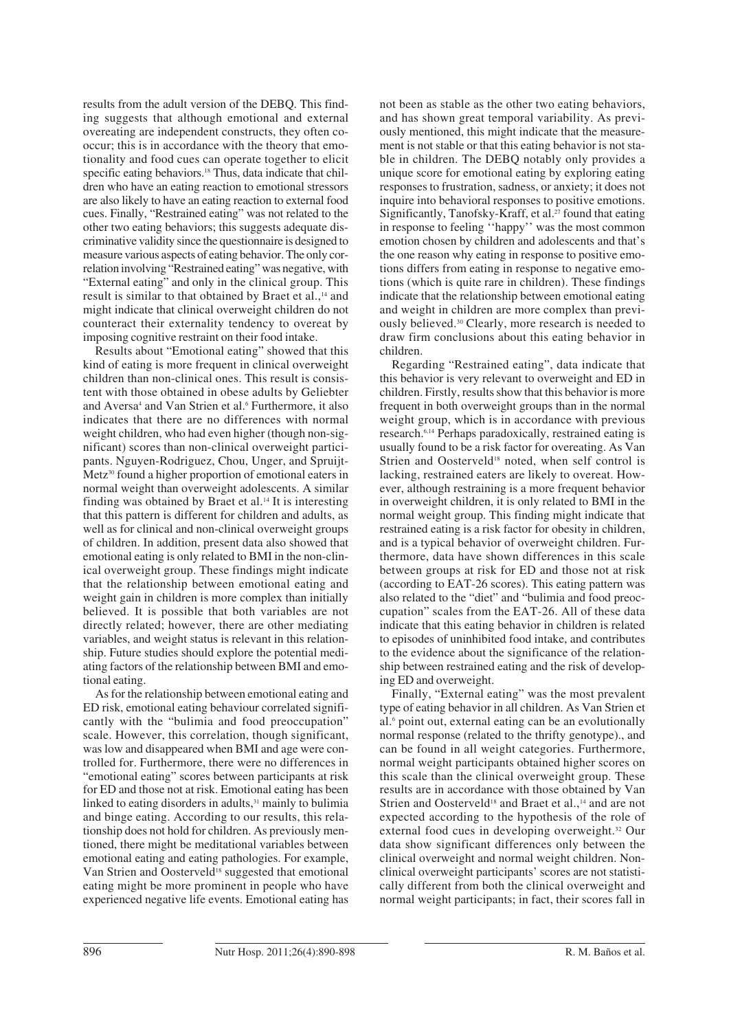results from the adult version of the DEBQ. This finding suggests that although emotional and external overeating are independent constructs, they often cooccur; this is in accordance with the theory that emotionality and food cues can operate together to elicit specific eating behaviors.<sup>18</sup> Thus, data indicate that children who have an eating reaction to emotional stressors are also likely to have an eating reaction to external food cues. Finally, "Restrained eating" was not related to the other two eating behaviors; this suggests adequate discriminative validity since the questionnaire is designed to measure various aspects of eating behavior. The only correlation involving "Restrained eating" was negative, with "External eating" and only in the clinical group. This result is similar to that obtained by Braet et al.,<sup>14</sup> and might indicate that clinical overweight children do not counteract their externality tendency to overeat by imposing cognitive restraint on their food intake.

Results about "Emotional eating" showed that this kind of eating is more frequent in clinical overweight children than non-clinical ones. This result is consistent with those obtained in obese adults by Geliebter and Aversa<sup>4</sup> and Van Strien et al.<sup>6</sup> Furthermore, it also indicates that there are no differences with normal weight children, who had even higher (though non-significant) scores than non-clinical overweight participants. Nguyen-Rodriguez, Chou, Unger, and Spruijt-Metz<sup>30</sup> found a higher proportion of emotional eaters in normal weight than overweight adolescents. A similar finding was obtained by Braet et al.14 It is interesting that this pattern is different for children and adults, as well as for clinical and non-clinical overweight groups of children. In addition, present data also showed that emotional eating is only related to BMI in the non-clinical overweight group. These findings might indicate that the relationship between emotional eating and weight gain in children is more complex than initially believed. It is possible that both variables are not directly related; however, there are other mediating variables, and weight status is relevant in this relationship. Future studies should explore the potential mediating factors of the relationship between BMI and emotional eating.

As for the relationship between emotional eating and ED risk, emotional eating behaviour correlated significantly with the "bulimia and food preoccupation" scale. However, this correlation, though significant, was low and disappeared when BMI and age were controlled for. Furthermore, there were no differences in "emotional eating" scores between participants at risk for ED and those not at risk. Emotional eating has been linked to eating disorders in adults, $31$  mainly to bulimia and binge eating. According to our results, this relationship does not hold for children. As previously mentioned, there might be meditational variables between emotional eating and eating pathologies. For example, Van Strien and Oosterveld<sup>18</sup> suggested that emotional eating might be more prominent in people who have experienced negative life events. Emotional eating has not been as stable as the other two eating behaviors, and has shown great temporal variability. As previously mentioned, this might indicate that the measurement is not stable or that this eating behavior is not stable in children. The DEBQ notably only provides a unique score for emotional eating by exploring eating responses to frustration, sadness, or anxiety; it does not inquire into behavioral responses to positive emotions. Significantly, Tanofsky-Kraff, et al.<sup>27</sup> found that eating in response to feeling ''happy'' was the most common emotion chosen by children and adolescents and that's the one reason why eating in response to positive emotions differs from eating in response to negative emotions (which is quite rare in children). These findings indicate that the relationship between emotional eating and weight in children are more complex than previously believed.30 Clearly, more research is needed to draw firm conclusions about this eating behavior in children.

Regarding "Restrained eating", data indicate that this behavior is very relevant to overweight and ED in children. Firstly, results show that this behavior is more frequent in both overweight groups than in the normal weight group, which is in accordance with previous research.6,14 Perhaps paradoxically, restrained eating is usually found to be a risk factor for overeating. As Van Strien and Oosterveld<sup>18</sup> noted, when self control is lacking, restrained eaters are likely to overeat. However, although restraining is a more frequent behavior in overweight children, it is only related to BMI in the normal weight group. This finding might indicate that restrained eating is a risk factor for obesity in children, and is a typical behavior of overweight children. Furthermore, data have shown differences in this scale between groups at risk for ED and those not at risk (according to EAT-26 scores). This eating pattern was also related to the "diet" and "bulimia and food preoccupation" scales from the EAT-26. All of these data indicate that this eating behavior in children is related to episodes of uninhibited food intake, and contributes to the evidence about the significance of the relationship between restrained eating and the risk of developing ED and overweight.

Finally, "External eating" was the most prevalent type of eating behavior in all children. As Van Strien et al.6 point out, external eating can be an evolutionally normal response (related to the thrifty genotype)., and can be found in all weight categories. Furthermore, normal weight participants obtained higher scores on this scale than the clinical overweight group. These results are in accordance with those obtained by Van Strien and Oosterveld<sup>18</sup> and Braet et al.,<sup>14</sup> and are not expected according to the hypothesis of the role of external food cues in developing overweight.32 Our data show significant differences only between the clinical overweight and normal weight children. Nonclinical overweight participants' scores are not statistically different from both the clinical overweight and normal weight participants; in fact, their scores fall in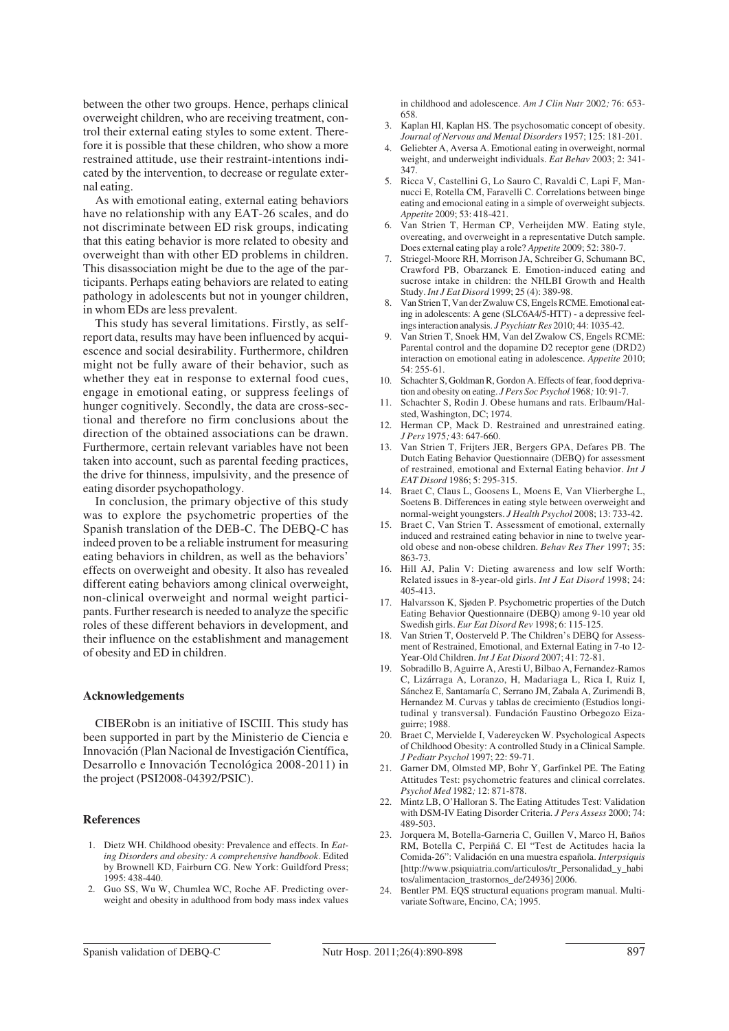between the other two groups. Hence, perhaps clinical overweight children, who are receiving treatment, control their external eating styles to some extent. Therefore it is possible that these children, who show a more restrained attitude, use their restraint-intentions indicated by the intervention, to decrease or regulate external eating.

As with emotional eating, external eating behaviors have no relationship with any EAT-26 scales, and do not discriminate between ED risk groups, indicating that this eating behavior is more related to obesity and overweight than with other ED problems in children. This disassociation might be due to the age of the participants. Perhaps eating behaviors are related to eating pathology in adolescents but not in younger children, in whom EDs are less prevalent.

This study has several limitations. Firstly, as selfreport data, results may have been influenced by acquiescence and social desirability. Furthermore, children might not be fully aware of their behavior, such as whether they eat in response to external food cues, engage in emotional eating, or suppress feelings of hunger cognitively. Secondly, the data are cross-sectional and therefore no firm conclusions about the direction of the obtained associations can be drawn. Furthermore, certain relevant variables have not been taken into account, such as parental feeding practices, the drive for thinness, impulsivity, and the presence of eating disorder psychopathology.

In conclusion, the primary objective of this study was to explore the psychometric properties of the Spanish translation of the DEB-C. The DEBQ-C has indeed proven to be a reliable instrument for measuring eating behaviors in children, as well as the behaviors' effects on overweight and obesity. It also has revealed different eating behaviors among clinical overweight, non-clinical overweight and normal weight participants. Further research is needed to analyze the specific roles of these different behaviors in development, and their influence on the establishment and management of obesity and ED in children.

#### **Acknowledgements**

CIBERobn is an initiative of ISCIII. This study has been supported in part by the Ministerio de Ciencia e Innovación (Plan Nacional de Investigación Científica, Desarrollo e Innovación Tecnológica 2008-2011) in the project (PSI2008-04392/PSIC).

#### **References**

- 1. Dietz WH. Childhood obesity: Prevalence and effects. In *Eating Disorders and obesity: A comprehensive handbook.* Edited by Brownell KD, Fairburn CG. New York: Guildford Press; 1995: 438-440.
- 2. Guo SS, Wu W, Chumlea WC, Roche AF. Predicting overweight and obesity in adulthood from body mass index values

in childhood and adolescence. *Am J Clin Nutr* 2002*;* 76: 653- 658.

- 3. Kaplan HI, Kaplan HS. The psychosomatic concept of obesity. *Journal of Nervous and Mental Disorders* 1957; 125: 181-201.
- 4. Geliebter A, Aversa A. Emotional eating in overweight, normal weight, and underweight individuals. *Eat Behav* 2003; 2: 341- 347.
- 5. Ricca V, Castellini G, Lo Sauro C, Ravaldi C, Lapi F, Mannucci E, Rotella CM, Faravelli C. Correlations between binge eating and emocional eating in a simple of overweight subjects. *Appetite* 2009; 53: 418-421.
- 6. Van Strien T, Herman CP, Verheijden MW. Eating style, overeating, and overweight in a representative Dutch sample. Does external eating play a role? *Appetite* 2009; 52: 380-7.
- 7. Striegel-Moore RH, Morrison JA, Schreiber G, Schumann BC, Crawford PB, Obarzanek E. Emotion-induced eating and sucrose intake in children: the NHLBI Growth and Health Study. *Int J Eat Disord* 1999; 25 (4): 389-98.
- 8. Van Strien T, Van der Zwaluw CS, Engels RCME. Emotional eating in adolescents: A gene (SLC6A4/5-HTT) - a depressive feelings interaction analysis. *J Psychiatr Res* 2010; 44: 1035-42.
- 9. Van Strien T, Snoek HM, Van del Zwalow CS, Engels RCME: Parental control and the dopamine D2 receptor gene (DRD2) interaction on emotional eating in adolescence. *Appetite* 2010; 54: 255-61.
- 10. Schachter S, Goldman R, Gordon A. Effects of fear, food deprivation and obesity on eating. *J Pers Soc Psychol* 1968*;* 10: 91-7.
- 11. Schachter S, Rodin J. Obese humans and rats. Erlbaum/Halsted, Washington, DC; 1974.
- 12. Herman CP, Mack D. Restrained and unrestrained eating. *J Pers* 1975*;* 43: 647-660.
- 13. Van Strien T, Frijters JER, Bergers GPA, Defares PB. The Dutch Eating Behavior Questionnaire (DEBQ) for assessment of restrained, emotional and External Eating behavior. *Int J EAT Disord* 1986; 5: 295-315.
- 14. Braet C, Claus L, Goosens L, Moens E, Van Vlierberghe L, Soetens B. Differences in eating style between overweight and normal-weight youngsters. *J Health Psychol* 2008; 13: 733-42.
- 15. Braet C, Van Strien T. Assessment of emotional, externally induced and restrained eating behavior in nine to twelve yearold obese and non-obese children. *Behav Res Ther* 1997; 35: 863-73.
- 16. Hill AJ, Palin V: Dieting awareness and low self Worth: Related issues in 8-year-old girls. *Int J Eat Disord* 1998; 24: 405-413.
- 17. Halvarsson K, Sjøden P. Psychometric properties of the Dutch Eating Behavior Questionnaire (DEBQ) among 9-10 year old Swedish girls. *Eur Eat Disord Rev* 1998; 6: 115-125.
- 18. Van Strien T, Oosterveld P. The Children's DEBQ for Assessment of Restrained, Emotional, and External Eating in 7-to 12- Year-Old Children. *Int J Eat Disord* 2007; 41: 72-81.
- 19. Sobradillo B, Aguirre A, Aresti U, Bilbao A, Fernandez-Ramos C, Lizárraga A, Loranzo, H, Madariaga L, Rica I, Ruiz I, Sánchez E, Santamaría C, Serrano JM, Zabala A, Zurimendi B, Hernandez M. Curvas y tablas de crecimiento (Estudios longitudinal y transversal). Fundación Faustino Orbegozo Eizaguirre; 1988.
- 20. Braet C, Mervielde I, Vadereycken W. Psychological Aspects of Childhood Obesity: A controlled Study in a Clinical Sample. *J Pediatr Psychol* 1997; 22: 59-71.
- 21. Garner DM, Olmsted MP, Bohr Y, Garfinkel PE. The Eating Attitudes Test: psychometric features and clinical correlates. *Psychol Med* 1982*;* 12: 871-878.
- 22. Mintz LB, O'Halloran S. The Eating Attitudes Test: Validation with DSM-IV Eating Disorder Criteria. *J Pers Assess* 2000; 74: 489-503.
- 23. Jorquera M, Botella-Garneria C, Guillen V, Marco H, Baños RM, Botella C, Perpiñá C. El "Test de Actitudes hacia la Comida-26": Validación en una muestra española. *Interpsiquis* [http://www.psiquiatria.com/articulos/tr\_Personalidad\_y\_habi tos/alimentacion\_trastornos\_de/24936] 2006.
- 24. Bentler PM. EQS structural equations program manual. Multivariate Software, Encino, CA; 1995.